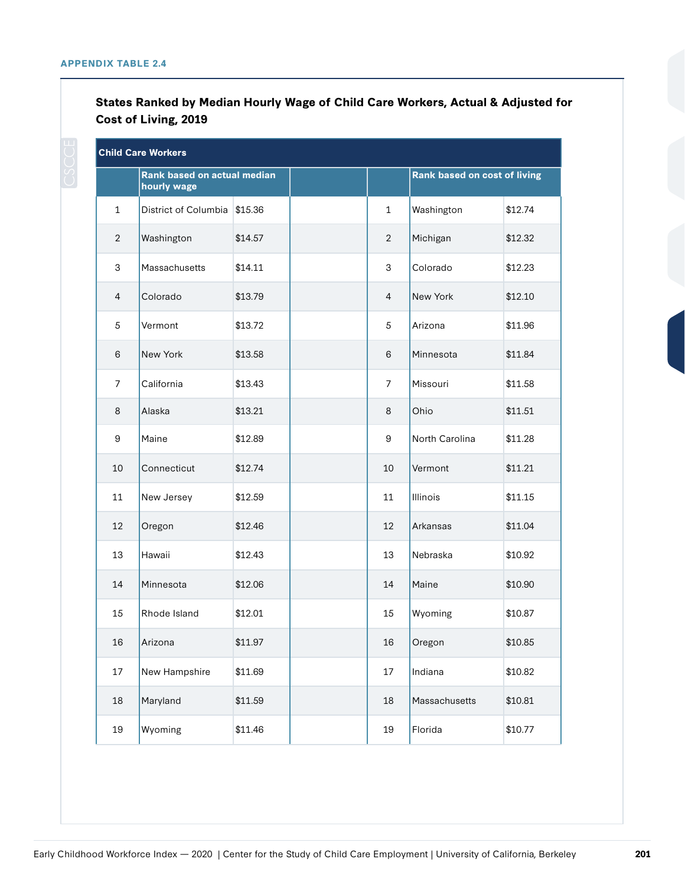| States Ranked by Median Hourly Wage of Child Care Workers, Actual & Adjusted for |  |  |
|----------------------------------------------------------------------------------|--|--|
| <b>Cost of Living, 2019</b>                                                      |  |  |

| <b>Child Care Workers</b> |                                            |         |  |                |                              |         |  |
|---------------------------|--------------------------------------------|---------|--|----------------|------------------------------|---------|--|
|                           | Rank based on actual median<br>hourly wage |         |  |                | Rank based on cost of living |         |  |
| $\mathbf{1}$              | District of Columbia                       | \$15.36 |  | $\mathbf{1}$   | Washington                   | \$12.74 |  |
| $\overline{2}$            | Washington                                 | \$14.57 |  | $\overline{2}$ | Michigan                     | \$12.32 |  |
| 3                         | Massachusetts                              | \$14.11 |  | 3              | Colorado                     | \$12.23 |  |
| $\overline{4}$            | Colorado                                   | \$13.79 |  | $\overline{4}$ | New York                     | \$12.10 |  |
| 5                         | Vermont                                    | \$13.72 |  | 5              | Arizona                      | \$11.96 |  |
| 6                         | New York                                   | \$13.58 |  | 6              | Minnesota                    | \$11.84 |  |
| 7                         | California                                 | \$13.43 |  | 7              | Missouri                     | \$11.58 |  |
| 8                         | Alaska                                     | \$13.21 |  | 8              | Ohio                         | \$11.51 |  |
| 9                         | Maine                                      | \$12.89 |  | 9              | North Carolina               | \$11.28 |  |
| 10                        | Connecticut                                | \$12.74 |  | 10             | Vermont                      | \$11.21 |  |
| 11                        | New Jersey                                 | \$12.59 |  | 11             | <b>Illinois</b>              | \$11.15 |  |
| 12                        | Oregon                                     | \$12.46 |  | 12             | Arkansas                     | \$11.04 |  |
| 13                        | Hawaii                                     | \$12.43 |  | 13             | Nebraska                     | \$10.92 |  |
| 14                        | Minnesota                                  | \$12.06 |  | 14             | Maine                        | \$10.90 |  |
| 15                        | Rhode Island                               | \$12.01 |  | 15             | Wyoming                      | \$10.87 |  |
| 16                        | Arizona                                    | \$11.97 |  | 16             | Oregon                       | \$10.85 |  |
| 17                        | New Hampshire                              | \$11.69 |  | 17             | Indiana                      | \$10.82 |  |
| 18                        | Maryland                                   | \$11.59 |  | 18             | Massachusetts                | \$10.81 |  |
| 19                        | Wyoming                                    | \$11.46 |  | 19             | Florida                      | \$10.77 |  |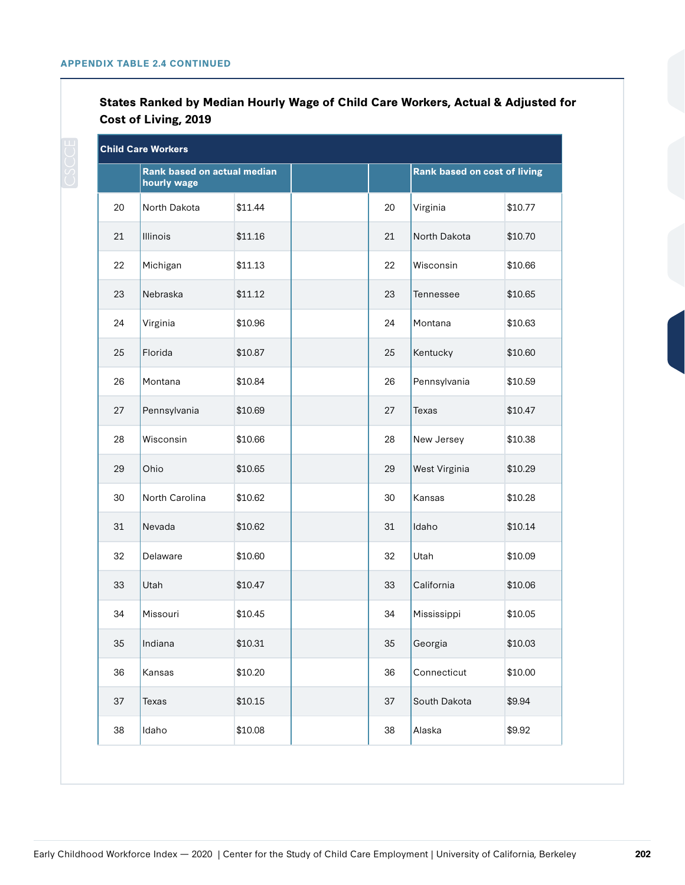## **States Ranked by Median Hourly Wage of Child Care Workers, Actual & Adjusted for Cost of Living, 2019**

| <b>Child Care Workers</b> |                                            |         |  |    |                                     |         |
|---------------------------|--------------------------------------------|---------|--|----|-------------------------------------|---------|
|                           | Rank based on actual median<br>hourly wage |         |  |    | <b>Rank based on cost of living</b> |         |
| 20                        | North Dakota                               | \$11.44 |  | 20 | Virginia                            | \$10.77 |
| 21                        | Illinois                                   | \$11.16 |  | 21 | North Dakota                        | \$10.70 |
| 22                        | Michigan                                   | \$11.13 |  | 22 | Wisconsin                           | \$10.66 |
| 23                        | Nebraska                                   | \$11.12 |  | 23 | Tennessee                           | \$10.65 |
| 24                        | Virginia                                   | \$10.96 |  | 24 | Montana                             | \$10.63 |
| 25                        | Florida                                    | \$10.87 |  | 25 | Kentucky                            | \$10.60 |
| 26                        | Montana                                    | \$10.84 |  | 26 | Pennsylvania                        | \$10.59 |
| 27                        | Pennsylvania                               | \$10.69 |  | 27 | Texas                               | \$10.47 |
| 28                        | Wisconsin                                  | \$10.66 |  | 28 | New Jersey                          | \$10.38 |
| 29                        | Ohio                                       | \$10.65 |  | 29 | West Virginia                       | \$10.29 |
| 30                        | North Carolina                             | \$10.62 |  | 30 | Kansas                              | \$10.28 |
| 31                        | Nevada                                     | \$10.62 |  | 31 | Idaho                               | \$10.14 |
| 32                        | Delaware                                   | \$10.60 |  | 32 | Utah                                | \$10.09 |
| 33                        | Utah                                       | \$10.47 |  | 33 | California                          | \$10.06 |
| 34                        | Missouri                                   | \$10.45 |  | 34 | Mississippi                         | \$10.05 |
| 35                        | Indiana                                    | \$10.31 |  | 35 | Georgia                             | \$10.03 |
| 36                        | Kansas                                     | \$10.20 |  | 36 | Connecticut                         | \$10.00 |
| 37                        | Texas                                      | \$10.15 |  | 37 | South Dakota                        | \$9.94  |
| 38                        | Idaho                                      | \$10.08 |  | 38 | Alaska                              | \$9.92  |